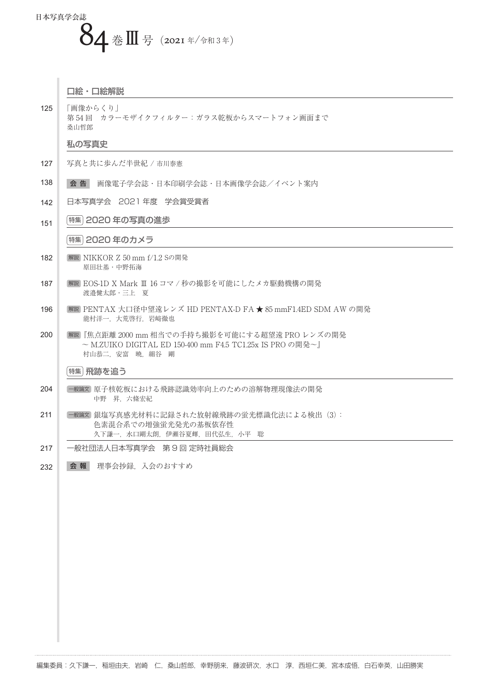